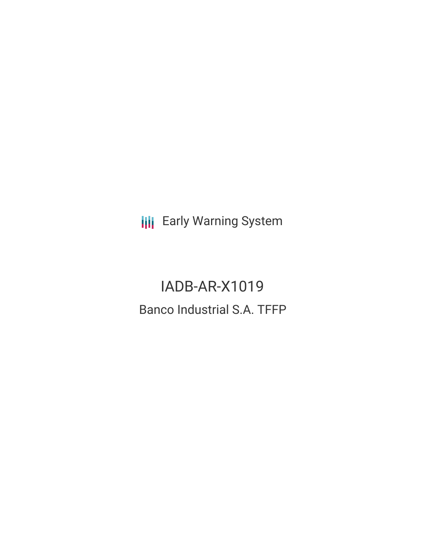**III** Early Warning System

IADB-AR-X1019 Banco Industrial S.A. TFFP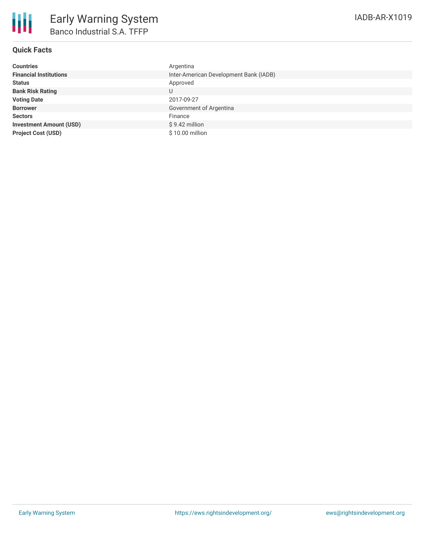

## **Quick Facts**

| <b>Countries</b>               | Argentina                              |
|--------------------------------|----------------------------------------|
| <b>Financial Institutions</b>  | Inter-American Development Bank (IADB) |
| <b>Status</b>                  | Approved                               |
| <b>Bank Risk Rating</b>        | U                                      |
| <b>Voting Date</b>             | 2017-09-27                             |
| <b>Borrower</b>                | Government of Argentina                |
| <b>Sectors</b>                 | Finance                                |
| <b>Investment Amount (USD)</b> | $$9.42$ million                        |
| <b>Project Cost (USD)</b>      | \$10.00 million                        |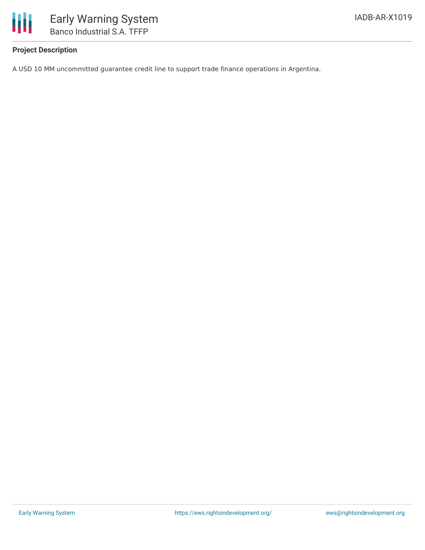

## **Project Description**

A USD 10 MM uncommitted guarantee credit line to support trade finance operations in Argentina.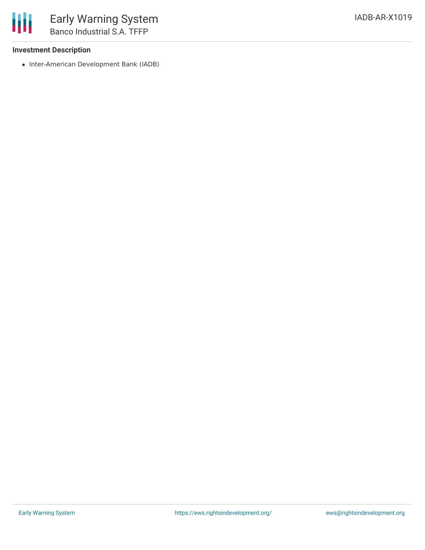## **Investment Description**

• Inter-American Development Bank (IADB)